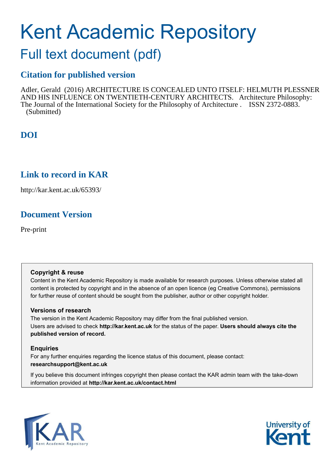# Kent Academic Repository

## Full text document (pdf)

## **Citation for published version**

Adler, Gerald (2016) ARCHITECTURE IS CONCEALED UNTO ITSELF: HELMUTH PLESSNER AND HIS INFLUENCE ON TWENTIETH-CENTURY ARCHITECTS. Architecture Philosophy: The Journal of the International Society for the Philosophy of Architecture . ISSN 2372-0883. (Submitted)

## **DOI**

## **Link to record in KAR**

http://kar.kent.ac.uk/65393/

## **Document Version**

Pre-print

#### **Copyright & reuse**

Content in the Kent Academic Repository is made available for research purposes. Unless otherwise stated all content is protected by copyright and in the absence of an open licence (eg Creative Commons), permissions for further reuse of content should be sought from the publisher, author or other copyright holder.

#### **Versions of research**

The version in the Kent Academic Repository may differ from the final published version. Users are advised to check **http://kar.kent.ac.uk** for the status of the paper. **Users should always cite the published version of record.**

#### **Enquiries**

For any further enquiries regarding the licence status of this document, please contact: **researchsupport@kent.ac.uk**

If you believe this document infringes copyright then please contact the KAR admin team with the take-down information provided at **http://kar.kent.ac.uk/contact.html**



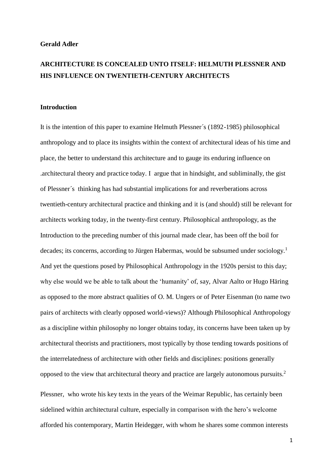#### **Gerald Adler**

### **ARCHITECTURE IS CONCEALED UNTO ITSELF: HELMUTH PLESSNER AND HIS INFLUENCE ON TWENTIETH-CENTURY ARCHITECTS**

#### **Introduction**

It is the intention of this paper to examine Helmuth Plessner´s (1892-1985) philosophical anthropology and to place its insights within the context of architectural ideas of his time and place, the better to understand this architecture and to gauge its enduring influence on .architectural theory and practice today. I argue that in hindsight, and subliminally, the gist of Plessner´s thinking has had substantial implications for and reverberations across twentieth-century architectural practice and thinking and it is (and should) still be relevant for architects working today, in the twenty-first century. Philosophical anthropology, as the Introduction to the preceding number of this journal made clear, has been off the boil for decades; its concerns, according to Jürgen Habermas, would be subsumed under sociology.<sup>1</sup> And yet the questions posed by Philosophical Anthropology in the 1920s persist to this day; why else would we be able to talk about the 'humanity' of, say, Alvar Aalto or Hugo Häring as opposed to the more abstract qualities of O. M. Ungers or of Peter Eisenman (to name two pairs of architects with clearly opposed world-views)? Although Philosophical Anthropology as a discipline within philosophy no longer obtains today, its concerns have been taken up by architectural theorists and practitioners, most typically by those tending towards positions of the interrelatedness of architecture with other fields and disciplines: positions generally opposed to the view that architectural theory and practice are largely autonomous pursuits.<sup>2</sup>

Plessner, who wrote his key texts in the years of the Weimar Republic, has certainly been sidelined within architectural culture, especially in comparison with the hero's welcome afforded his contemporary, Martin Heidegger, with whom he shares some common interests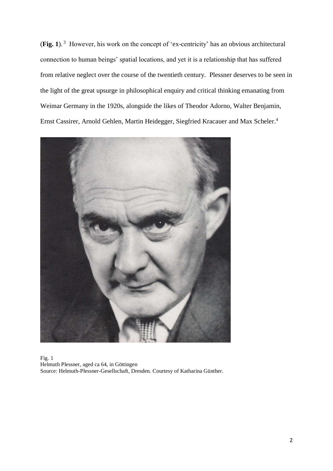(**Fig. 1**). <sup>3</sup> However, his work on the concept of 'ex-centricity' has an obvious architectural connection to human beings' spatial locations, and yet it is a relationship that has suffered from relative neglect over the course of the twentieth century. Plessner deserves to be seen in the light of the great upsurge in philosophical enquiry and critical thinking emanating from Weimar Germany in the 1920s, alongside the likes of Theodor Adorno, Walter Benjamin, Ernst Cassirer, Arnold Gehlen, Martin Heidegger, Siegfried Kracauer and Max Scheler.<sup>4</sup>



Fig. 1 Helmuth Plessner, aged ca 64, in Göttingen Source: Helmuth-Plessner-Gesellschaft, Dresden. Courtesy of Katharina Günther.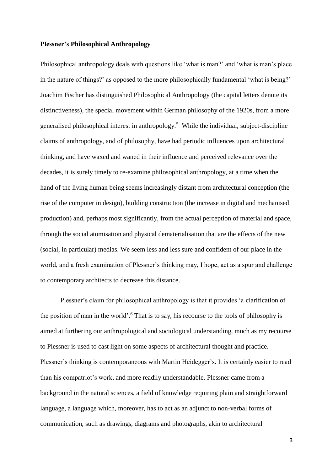#### **Plessner's Philosophical Anthropology**

Philosophical anthropology deals with questions like 'what is man?' and 'what is man's place in the nature of things?' as opposed to the more philosophically fundamental 'what is being?' Joachim Fischer has distinguished Philosophical Anthropology (the capital letters denote its distinctiveness), the special movement within German philosophy of the 1920s, from a more generalised philosophical interest in anthropology.<sup>5</sup> While the individual, subject-discipline claims of anthropology, and of philosophy, have had periodic influences upon architectural thinking, and have waxed and waned in their influence and perceived relevance over the decades, it is surely timely to re-examine philosophical anthropology, at a time when the hand of the living human being seems increasingly distant from architectural conception (the rise of the computer in design), building construction (the increase in digital and mechanised production) and, perhaps most significantly, from the actual perception of material and space, through the social atomisation and physical dematerialisation that are the effects of the new (social, in particular) medias. We seem less and less sure and confident of our place in the world, and a fresh examination of Plessner's thinking may, I hope, act as a spur and challenge to contemporary architects to decrease this distance.

Plessner's claim for philosophical anthropology is that it provides 'a clarification of the position of man in the world'.<sup>6</sup> That is to say, his recourse to the tools of philosophy is aimed at furthering our anthropological and sociological understanding, much as my recourse to Plessner is used to cast light on some aspects of architectural thought and practice. Plessner's thinking is contemporaneous with Martin Heidegger's. It is certainly easier to read than his compatriot's work, and more readily understandable. Plessner came from a background in the natural sciences, a field of knowledge requiring plain and straightforward language, a language which, moreover, has to act as an adjunct to non-verbal forms of communication, such as drawings, diagrams and photographs, akin to architectural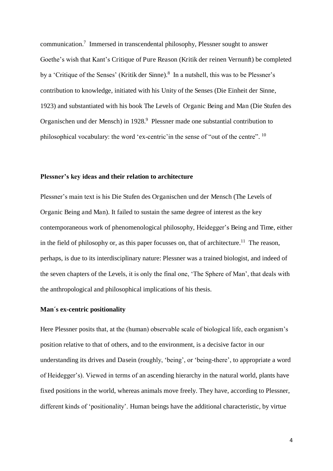communication.<sup>7</sup> Immersed in transcendental philosophy, Plessner sought to answer Goethe's wish that Kant's Critique of Pure Reason (Kritik der reinen Vernunft) be completed by a 'Critique of the Senses' (Kritik der Sinne).<sup>8</sup> In a nutshell, this was to be Plessner's contribution to knowledge, initiated with his Unity of the Senses (Die Einheit der Sinne, 1923) and substantiated with his book The Levels of Organic Being and Man (Die Stufen des Organischen und der Mensch) in 1928.<sup>9</sup> Plessner made one substantial contribution to philosophical vocabulary: the word 'ex-centric' in the sense of "out of the centre". <sup>10</sup>

#### **Plessner's key ideas and their relation to architecture**

Plessner's main text is his Die Stufen des Organischen und der Mensch (The Levels of Organic Being and Man). It failed to sustain the same degree of interest as the key contemporaneous work of phenomenological philosophy, Heidegger's Being and Time, either in the field of philosophy or, as this paper focusses on, that of architecture.<sup>11</sup> The reason, perhaps, is due to its interdisciplinary nature: Plessner was a trained biologist, and indeed of the seven chapters of the Levels, it is only the final one, 'The Sphere of Man', that deals with the anthropological and philosophical implications of his thesis.

#### **Man´s ex-centric positionality**

Here Plessner posits that, at the (human) observable scale of biological life, each organism's position relative to that of others, and to the environment, is a decisive factor in our understanding its drives and Dasein (roughly, 'being', or 'being-there', to appropriate a word of Heidegger's). Viewed in terms of an ascending hierarchy in the natural world, plants have fixed positions in the world, whereas animals move freely. They have, according to Plessner, different kinds of 'positionality'. Human beings have the additional characteristic, by virtue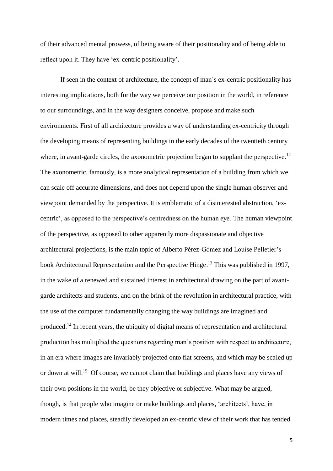of their advanced mental prowess, of being aware of their positionality and of being able to reflect upon it. They have 'ex-centric positionality'.

If seen in the context of architecture, the concept of man´s ex-centric positionality has interesting implications, both for the way we perceive our position in the world, in reference to our surroundings, and in the way designers conceive, propose and make such environments. First of all architecture provides a way of understanding ex-centricity through the developing means of representing buildings in the early decades of the twentieth century where, in avant-garde circles, the axonometric projection began to supplant the perspective.<sup>12</sup> The axonometric, famously, is a more analytical representation of a building from which we can scale off accurate dimensions, and does not depend upon the single human observer and viewpoint demanded by the perspective. It is emblematic of a disinterested abstraction, 'excentric', as opposed to the perspective's centredness on the human eye. The human viewpoint of the perspective, as opposed to other apparently more dispassionate and objective architectural projections, is the main topic of Alberto Pérez-Gómez and Louise Pelletier's book Architectural Representation and the Perspective Hinge.<sup>13</sup> This was published in 1997, in the wake of a renewed and sustained interest in architectural drawing on the part of avantgarde architects and students, and on the brink of the revolution in architectural practice, with the use of the computer fundamentally changing the way buildings are imagined and produced.<sup>14</sup> In recent years, the ubiquity of digital means of representation and architectural production has multiplied the questions regarding man's position with respect to architecture, in an era where images are invariably projected onto flat screens, and which may be scaled up or down at will.<sup>15</sup> Of course, we cannot claim that buildings and places have any views of their own positions in the world, be they objective or subjective. What may be argued, though, is that people who imagine or make buildings and places, 'architects', have, in modern times and places, steadily developed an ex-centric view of their work that has tended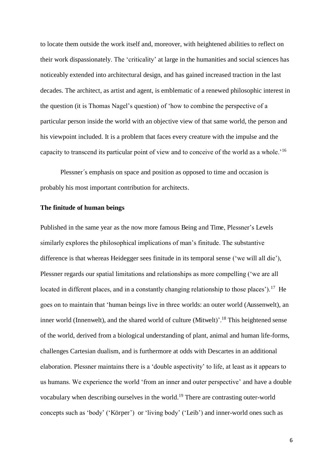to locate them outside the work itself and, moreover, with heightened abilities to reflect on their work dispassionately. The 'criticality' at large in the humanities and social sciences has noticeably extended into architectural design, and has gained increased traction in the last decades. The architect, as artist and agent, is emblematic of a renewed philosophic interest in the question (it is Thomas Nagel's question) of 'how to combine the perspective of a particular person inside the world with an objective view of that same world, the person and his viewpoint included. It is a problem that faces every creature with the impulse and the capacity to transcend its particular point of view and to conceive of the world as a whole.'<sup>16</sup>

Plessner´s emphasis on space and position as opposed to time and occasion is probably his most important contribution for architects.

#### **The finitude of human beings**

Published in the same year as the now more famous Being and Time, Plessner's Levels similarly explores the philosophical implications of man's finitude. The substantive difference is that whereas Heidegger sees finitude in its temporal sense ('we will all die'), Plessner regards our spatial limitations and relationships as more compelling ('we are all located in different places, and in a constantly changing relationship to those places').<sup>17</sup> He goes on to maintain that 'human beings live in three worlds: an outer world (Aussenwelt), an inner world (Innenwelt), and the shared world of culture (Mitwelt)'.<sup>18</sup> This heightened sense of the world, derived from a biological understanding of plant, animal and human life-forms, challenges Cartesian dualism, and is furthermore at odds with Descartes in an additional elaboration. Plessner maintains there is a 'double aspectivity' to life, at least as it appears to us humans. We experience the world 'from an inner and outer perspective' and have a double vocabulary when describing ourselves in the world.<sup>19</sup> There are contrasting outer-world concepts such as 'body' ('Körper') or 'living body' ('Leib') and inner-world ones such as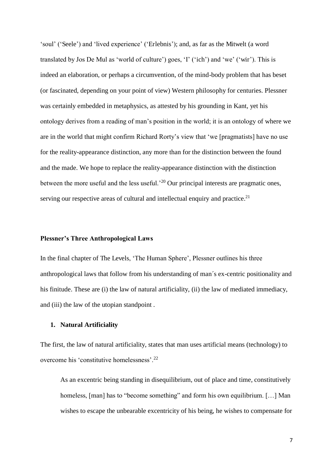'soul' ('Seele') and 'lived experience' ('Erlebnis'); and, as far as the Mitwelt (a word translated by Jos De Mul as 'world of culture') goes, 'I' ('ich') and 'we' ('wir'). This is indeed an elaboration, or perhaps a circumvention, of the mind-body problem that has beset (or fascinated, depending on your point of view) Western philosophy for centuries. Plessner was certainly embedded in metaphysics, as attested by his grounding in Kant, yet his ontology derives from a reading of man's position in the world; it is an ontology of where we are in the world that might confirm Richard Rorty's view that 'we [pragmatists] have no use for the reality-appearance distinction, any more than for the distinction between the found and the made. We hope to replace the reality-appearance distinction with the distinction between the more useful and the less useful.<sup>'20</sup> Our principal interests are pragmatic ones, serving our respective areas of cultural and intellectual enquiry and practice. $21$ 

#### **Plessner's Three Anthropological Laws**

In the final chapter of The Levels, 'The Human Sphere', Plessner outlines his three anthropological laws that follow from his understanding of man´s ex-centric positionality and his finitude. These are (i) the law of natural artificiality, (ii) the law of mediated immediacy, and (iii) the law of the utopian standpoint .

#### **1. Natural Artificiality**

The first, the law of natural artificiality, states that man uses artificial means (technology) to overcome his 'constitutive homelessness'.<sup>22</sup>

As an excentric being standing in disequilibrium, out of place and time, constitutively homeless, [man] has to "become something" and form his own equilibrium. [...] Man wishes to escape the unbearable excentricity of his being, he wishes to compensate for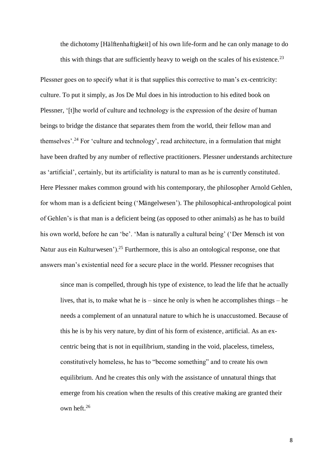the dichotomy [Hälftenhaftigkeit] of his own life-form and he can only manage to do this with things that are sufficiently heavy to weigh on the scales of his existence.<sup>23</sup>

Plessner goes on to specify what it is that supplies this corrective to man's ex-centricity: culture. To put it simply, as Jos De Mul does in his introduction to his edited book on Plessner, '[t]he world of culture and technology is the expression of the desire of human beings to bridge the distance that separates them from the world, their fellow man and themselves'.<sup>24</sup> For 'culture and technology', read architecture, in a formulation that might have been drafted by any number of reflective practitioners. Plessner understands architecture as 'artificial', certainly, but its artificiality is natural to man as he is currently constituted. Here Plessner makes common ground with his contemporary, the philosopher Arnold Gehlen, for whom man is a deficient being ('Mängelwesen'). The philosophical-anthropological point of Gehlen's is that man is a deficient being (as opposed to other animals) as he has to build his own world, before he can 'be'. 'Man is naturally a cultural being' ('Der Mensch ist von Natur aus ein Kulturwesen').<sup>25</sup> Furthermore, this is also an ontological response, one that answers man's existential need for a secure place in the world. Plessner recognises that

since man is compelled, through his type of existence, to lead the life that he actually lives, that is, to make what he is – since he only is when he accomplishes things – he needs a complement of an unnatural nature to which he is unaccustomed. Because of this he is by his very nature, by dint of his form of existence, artificial. As an excentric being that is not in equilibrium, standing in the void, placeless, timeless, constitutively homeless, he has to "become something" and to create his own equilibrium. And he creates this only with the assistance of unnatural things that emerge from his creation when the results of this creative making are granted their own heft.<sup>26</sup>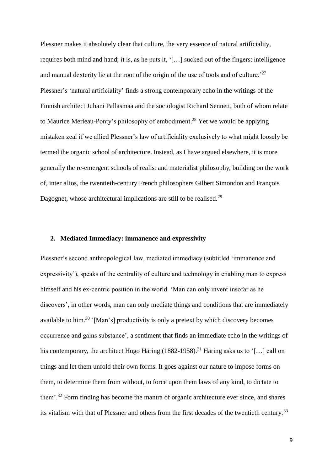Plessner makes it absolutely clear that culture, the very essence of natural artificiality, requires both mind and hand; it is, as he puts it, '[…] sucked out of the fingers: intelligence and manual dexterity lie at the root of the origin of the use of tools and of culture.<sup>27</sup> Plessner's 'natural artificiality' finds a strong contemporary echo in the writings of the Finnish architect Juhani Pallasmaa and the sociologist Richard Sennett, both of whom relate to Maurice Merleau-Ponty's philosophy of embodiment.<sup>28</sup> Yet we would be applying mistaken zeal if we allied Plessner's law of artificiality exclusively to what might loosely be termed the organic school of architecture. Instead, as I have argued elsewhere, it is more generally the re-emergent schools of realist and materialist philosophy, building on the work of, inter alios, the twentieth-century French philosophers Gilbert Simondon and François Dagognet, whose architectural implications are still to be realised.<sup>29</sup>

#### **2. Mediated Immediacy: immanence and expressivity**

Plessner's second anthropological law, mediated immediacy (subtitled 'immanence and expressivity'), speaks of the centrality of culture and technology in enabling man to express himself and his ex-centric position in the world. 'Man can only invent insofar as he discovers', in other words, man can only mediate things and conditions that are immediately available to him.<sup>30</sup> '[Man's] productivity is only a pretext by which discovery becomes occurrence and gains substance', a sentiment that finds an immediate echo in the writings of his contemporary, the architect Hugo Häring  $(1882-1958)$ .<sup>31</sup> Häring asks us to '[...] call on things and let them unfold their own forms. It goes against our nature to impose forms on them, to determine them from without, to force upon them laws of any kind, to dictate to them'.<sup>32</sup> Form finding has become the mantra of organic architecture ever since, and shares its vitalism with that of Plessner and others from the first decades of the twentieth century.<sup>33</sup>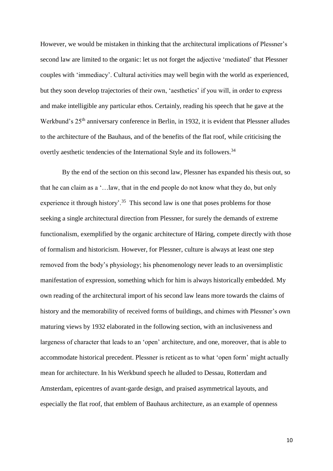However, we would be mistaken in thinking that the architectural implications of Plessner's second law are limited to the organic: let us not forget the adjective 'mediated' that Plessner couples with 'immediacy'. Cultural activities may well begin with the world as experienced, but they soon develop trajectories of their own, 'aesthetics' if you will, in order to express and make intelligible any particular ethos. Certainly, reading his speech that he gave at the Werkbund's  $25<sup>th</sup>$  anniversary conference in Berlin, in 1932, it is evident that Plessner alludes to the architecture of the Bauhaus, and of the benefits of the flat roof, while criticising the overtly aesthetic tendencies of the International Style and its followers.<sup>34</sup>

 By the end of the section on this second law, Plessner has expanded his thesis out, so that he can claim as a '…law, that in the end people do not know what they do, but only experience it through history'.<sup>35</sup> This second law is one that poses problems for those seeking a single architectural direction from Plessner, for surely the demands of extreme functionalism, exemplified by the organic architecture of Häring, compete directly with those of formalism and historicism. However, for Plessner, culture is always at least one step removed from the body's physiology; his phenomenology never leads to an oversimplistic manifestation of expression, something which for him is always historically embedded. My own reading of the architectural import of his second law leans more towards the claims of history and the memorability of received forms of buildings, and chimes with Plessner's own maturing views by 1932 elaborated in the following section, with an inclusiveness and largeness of character that leads to an 'open' architecture, and one, moreover, that is able to accommodate historical precedent. Plessner is reticent as to what 'open form' might actually mean for architecture. In his Werkbund speech he alluded to Dessau, Rotterdam and Amsterdam, epicentres of avant-garde design, and praised asymmetrical layouts, and especially the flat roof, that emblem of Bauhaus architecture, as an example of openness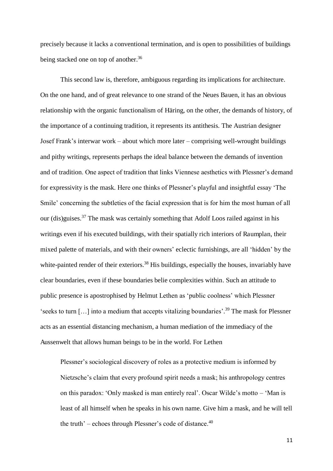precisely because it lacks a conventional termination, and is open to possibilities of buildings being stacked one on top of another.<sup>36</sup>

This second law is, therefore, ambiguous regarding its implications for architecture. On the one hand, and of great relevance to one strand of the Neues Bauen, it has an obvious relationship with the organic functionalism of Häring, on the other, the demands of history, of the importance of a continuing tradition, it represents its antithesis. The Austrian designer Josef Frank's interwar work – about which more later – comprising well-wrought buildings and pithy writings, represents perhaps the ideal balance between the demands of invention and of tradition. One aspect of tradition that links Viennese aesthetics with Plessner's demand for expressivity is the mask. Here one thinks of Plessner's playful and insightful essay 'The Smile' concerning the subtleties of the facial expression that is for him the most human of all our (dis)guises.<sup>37</sup> The mask was certainly something that Adolf Loos railed against in his writings even if his executed buildings, with their spatially rich interiors of Raumplan, their mixed palette of materials, and with their owners' eclectic furnishings, are all 'hidden' by the white-painted render of their exteriors.<sup>38</sup> His buildings, especially the houses, invariably have clear boundaries, even if these boundaries belie complexities within. Such an attitude to public presence is apostrophised by Helmut Lethen as 'public coolness' which Plessner 'seeks to turn […] into a medium that accepts vitalizing boundaries'. <sup>39</sup> The mask for Plessner acts as an essential distancing mechanism, a human mediation of the immediacy of the Aussenwelt that allows human beings to be in the world. For Lethen

Plessner's sociological discovery of roles as a protective medium is informed by Nietzsche's claim that every profound spirit needs a mask; his anthropology centres on this paradox: 'Only masked is man entirely real'. Oscar Wilde's motto – 'Man is least of all himself when he speaks in his own name. Give him a mask, and he will tell the truth' – echoes through Plessner's code of distance. $40$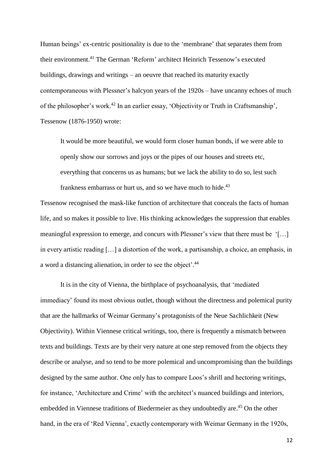Human beings' ex-centric positionality is due to the 'membrane' that separates them from their environment.<sup>41</sup> The German 'Reform' architect Heinrich Tessenow's executed buildings, drawings and writings – an oeuvre that reached its maturity exactly contemporaneous with Plessner's halcyon years of the 1920s – have uncanny echoes of much of the philosopher's work.<sup>42</sup> In an earlier essay, 'Objectivity or Truth in Craftsmanship', Tessenow (1876-1950) wrote:

It would be more beautiful, we would form closer human bonds, if we were able to openly show our sorrows and joys or the pipes of our houses and streets etc, everything that concerns us as humans; but we lack the ability to do so, lest such frankness embarrass or hurt us, and so we have much to hide.<sup>43</sup>

Tessenow recognised the mask-like function of architecture that conceals the facts of human life, and so makes it possible to live. His thinking acknowledges the suppression that enables meaningful expression to emerge, and concurs with Plessner's view that there must be '[…] in every artistic reading […] a distortion of the work, a partisanship, a choice, an emphasis, in a word a distancing alienation, in order to see the object'.<sup>44</sup>

It is in the city of Vienna, the birthplace of psychoanalysis, that 'mediated immediacy' found its most obvious outlet, though without the directness and polemical purity that are the hallmarks of Weimar Germany's protagonists of the Neue Sachlichkeit (New Objectivity). Within Viennese critical writings, too, there is frequently a mismatch between texts and buildings. Texts are by their very nature at one step removed from the objects they describe or analyse, and so tend to be more polemical and uncompromising than the buildings designed by the same author. One only has to compare Loos's shrill and hectoring writings, for instance, 'Architecture and Crime' with the architect's nuanced buildings and interiors, embedded in Viennese traditions of Biedermeier as they undoubtedly are.<sup>45</sup> On the other hand, in the era of 'Red Vienna', exactly contemporary with Weimar Germany in the 1920s,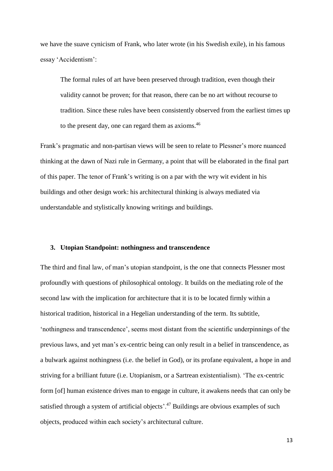we have the suave cynicism of Frank, who later wrote (in his Swedish exile), in his famous essay 'Accidentism':

The formal rules of art have been preserved through tradition, even though their validity cannot be proven; for that reason, there can be no art without recourse to tradition. Since these rules have been consistently observed from the earliest times up to the present day, one can regard them as axioms.<sup>46</sup>

Frank's pragmatic and non-partisan views will be seen to relate to Plessner's more nuanced thinking at the dawn of Nazi rule in Germany, a point that will be elaborated in the final part of this paper. The tenor of Frank's writing is on a par with the wry wit evident in his buildings and other design work: his architectural thinking is always mediated via understandable and stylistically knowing writings and buildings.

#### **3. Utopian Standpoint: nothingness and transcendence**

The third and final law, of man's utopian standpoint, is the one that connects Plessner most profoundly with questions of philosophical ontology. It builds on the mediating role of the second law with the implication for architecture that it is to be located firmly within a historical tradition, historical in a Hegelian understanding of the term. Its subtitle, 'nothingness and transcendence', seems most distant from the scientific underpinnings of the previous laws, and yet man's ex-centric being can only result in a belief in transcendence, as a bulwark against nothingness (i.e. the belief in God), or its profane equivalent, a hope in and striving for a brilliant future (i.e. Utopianism, or a Sartrean existentialism). 'The ex-centric form [of] human existence drives man to engage in culture, it awakens needs that can only be satisfied through a system of artificial objects'.<sup>47</sup> Buildings are obvious examples of such objects, produced within each society's architectural culture.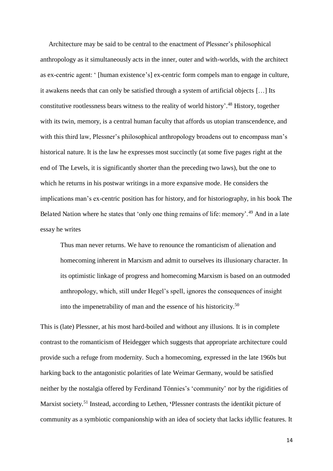Architecture may be said to be central to the enactment of Plessner's philosophical anthropology as it simultaneously acts in the inner, outer and with-worlds, with the architect as ex-centric agent: ' [human existence's] ex-centric form compels man to engage in culture, it awakens needs that can only be satisfied through a system of artificial objects […] Its constitutive rootlessness bears witness to the reality of world history'. <sup>48</sup> History, together with its twin, memory, is a central human faculty that affords us utopian transcendence, and with this third law, Plessner's philosophical anthropology broadens out to encompass man's historical nature. It is the law he expresses most succinctly (at some five pages right at the end of The Levels, it is significantly shorter than the preceding two laws), but the one to which he returns in his postwar writings in a more expansive mode. He considers the implications man's ex-centric position has for history, and for historiography, in his book The Belated Nation where he states that 'only one thing remains of life: memory'.<sup>49</sup> And in a late essay he writes

Thus man never returns. We have to renounce the romanticism of alienation and homecoming inherent in Marxism and admit to ourselves its illusionary character. In its optimistic linkage of progress and homecoming Marxism is based on an outmoded anthropology, which, still under Hegel's spell, ignores the consequences of insight into the impenetrability of man and the essence of his historicity.<sup>50</sup>

This is (late) Plessner, at his most hard-boiled and without any illusions. It is in complete contrast to the romanticism of Heidegger which suggests that appropriate architecture could provide such a refuge from modernity. Such a homecoming, expressed in the late 1960s but harking back to the antagonistic polarities of late Weimar Germany, would be satisfied neither by the nostalgia offered by Ferdinand Tönnies's 'community' nor by the rigidities of Marxist society.<sup>51</sup> Instead, according to Lethen, **'**Plessner contrasts the identikit picture of community as a symbiotic companionship with an idea of society that lacks idyllic features. It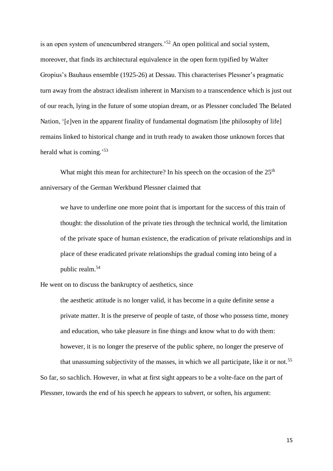is an open system of unencumbered strangers.'<sup>52</sup> An open political and social system, moreover, that finds its architectural equivalence in the open form typified by Walter Gropius's Bauhaus ensemble (1925-26) at Dessau. This characterises Plessner's pragmatic turn away from the abstract idealism inherent in Marxism to a transcendence which is just out of our reach, lying in the future of some utopian dream, or as Plessner concluded The Belated Nation, '[e]ven in the apparent finality of fundamental dogmatism [the philosophy of life] remains linked to historical change and in truth ready to awaken those unknown forces that herald what is coming.<sup>53</sup>

What might this mean for architecture? In his speech on the occasion of the  $25<sup>th</sup>$ anniversary of the German Werkbund Plessner claimed that

we have to underline one more point that is important for the success of this train of thought: the dissolution of the private ties through the technical world, the limitation of the private space of human existence, the eradication of private relationships and in place of these eradicated private relationships the gradual coming into being of a public realm.<sup>54</sup>

He went on to discuss the bankruptcy of aesthetics, since

the aesthetic attitude is no longer valid, it has become in a quite definite sense a private matter. It is the preserve of people of taste, of those who possess time, money and education, who take pleasure in fine things and know what to do with them: however, it is no longer the preserve of the public sphere, no longer the preserve of that unassuming subjectivity of the masses, in which we all participate, like it or not.<sup>55</sup>

So far, so sachlich. However, in what at first sight appears to be a volte-face on the part of Plessner, towards the end of his speech he appears to subvert, or soften, his argument: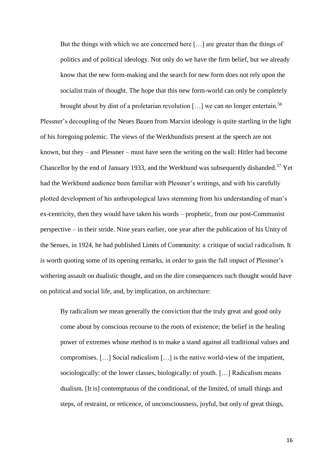But the things with which we are concerned here […] are greater than the things of politics and of political ideology. Not only do we have the firm belief, but we already know that the new form-making and the search for new form does not rely upon the socialist train of thought. The hope that this new form-world can only be completely

brought about by dint of a proletarian revolution [...] we can no longer entertain.<sup>56</sup> Plessner's decoupling of the Neues Bauen from Marxist ideology is quite startling in the light of his foregoing polemic. The views of the Werkbundists present at the speech are not known, but they – and Plessner – must have seen the writing on the wall: Hitler had become Chancellor by the end of January 1933, and the Werkbund was subsequently disbanded.<sup>57</sup> Yet had the Werkbund audience been familiar with Plessner's writings, and with his carefully plotted development of his anthropological laws stemming from his understanding of man's ex-centricity, then they would have taken his words – prophetic, from our post-Communist perspective – in their stride. Nine years earlier, one year after the publication of his Unity of the Senses, in 1924, he had published Limits of Community: a critique of social radicalism. It is worth quoting some of its opening remarks, in order to gain the full impact of Plessner's withering assault on dualistic thought, and on the dire consequences such thought would have on political and social life, and, by implication, on architecture:

By radicalism we mean generally the conviction that the truly great and good only come about by conscious recourse to the roots of existence; the belief in the healing power of extremes whose method is to make a stand against all traditional values and compromises. […] Social radicalism […] is the native world-view of the impatient, sociologically: of the lower classes, biologically: of youth. […] Radicalism means dualism. [It is] contemptuous of the conditional, of the limited, of small things and steps, of restraint, or reticence, of unconsciousness, joyful, but only of great things,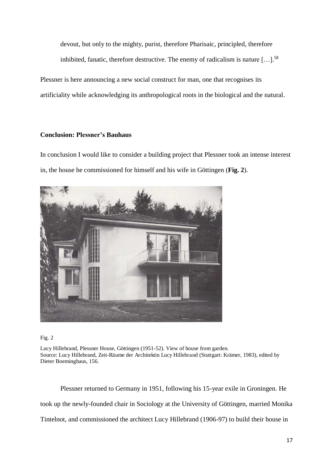devout, but only to the mighty, purist, therefore Pharisaic, principled, therefore inhibited, fanatic, therefore destructive. The enemy of radicalism is nature  $[\dots]$ <sup>58</sup>

Plessner is here announcing a new social construct for man, one that recognises its artificiality while acknowledging its anthropological roots in the biological and the natural.

#### **Conclusion: Plessner's Bauhaus**

In conclusion I would like to consider a building project that Plessner took an intense interest in, the house he commissioned for himself and his wife in Göttingen (**Fig. 2**).



Fig. 2

Lucy Hillebrand, Plessner House, Göttingen (1951-52). View of house from garden. Source: Lucy Hillebrand, Zeit-Räume der Architektin Lucy Hillebrand (Stuttgart: Krämer, 1983), edited by Dieter Boeminghaus, 156.

 Plessner returned to Germany in 1951, following his 15-year exile in Groningen. He took up the newly-founded chair in Sociology at the University of Göttingen, married Monika Tintelnot, and commissioned the architect Lucy Hillebrand (1906-97) to build their house in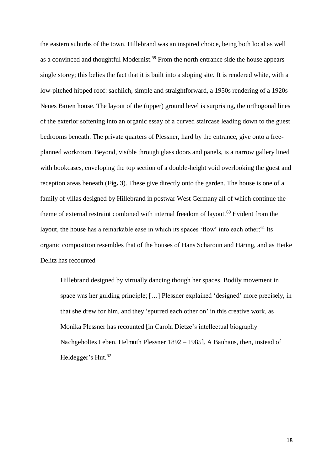the eastern suburbs of the town. Hillebrand was an inspired choice, being both local as well as a convinced and thoughtful Modernist.<sup>59</sup> From the north entrance side the house appears single storey; this belies the fact that it is built into a sloping site. It is rendered white, with a low-pitched hipped roof: sachlich, simple and straightforward, a 1950s rendering of a 1920s Neues Bauen house. The layout of the (upper) ground level is surprising, the orthogonal lines of the exterior softening into an organic essay of a curved staircase leading down to the guest bedrooms beneath. The private quarters of Plessner, hard by the entrance, give onto a freeplanned workroom. Beyond, visible through glass doors and panels, is a narrow gallery lined with bookcases, enveloping the top section of a double-height void overlooking the guest and reception areas beneath (**Fig. 3**). These give directly onto the garden. The house is one of a family of villas designed by Hillebrand in postwar West Germany all of which continue the theme of external restraint combined with internal freedom of layout.<sup>60</sup> Evident from the layout, the house has a remarkable ease in which its spaces 'flow' into each other;<sup>61</sup> its organic composition resembles that of the houses of Hans Scharoun and Häring, and as Heike Delitz has recounted

Hillebrand designed by virtually dancing though her spaces. Bodily movement in space was her guiding principle; […] Plessner explained 'designed' more precisely, in that she drew for him, and they 'spurred each other on' in this creative work, as Monika Plessner has recounted [in Carola Dietze's intellectual biography Nachgeholtes Leben. Helmuth Plessner 1892 *–* 1985]. A Bauhaus, then, instead of Heidegger's Hut.<sup>62</sup>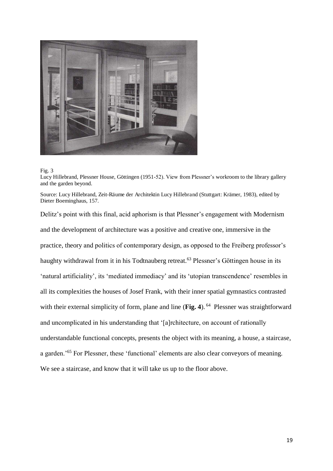

#### Fig. 3

Lucy Hillebrand, Plessner House, Göttingen (1951-52). View from Plessner's workroom to the library gallery and the garden beyond.

Source: Lucy Hillebrand, Zeit-Räume der Architektin Lucy Hillebrand (Stuttgart: Krämer, 1983), edited by Dieter Boeminghaus, 157.

Delitz's point with this final, acid aphorism is that Plessner's engagement with Modernism and the development of architecture was a positive and creative one, immersive in the practice, theory and politics of contemporary design, as opposed to the Freiberg professor's haughty withdrawal from it in his Todtnauberg retreat.<sup>63</sup> Plessner's Göttingen house in its 'natural artificiality', its 'mediated immediacy' and its 'utopian transcendence' resembles in all its complexities the houses of Josef Frank, with their inner spatial gymnastics contrasted with their external simplicity of form, plane and line (**Fig. 4**).<sup>64</sup> Plessner was straightforward and uncomplicated in his understanding that '[a]rchitecture, on account of rationally understandable functional concepts, presents the object with its meaning, a house, a staircase, a garden.'<sup>65</sup> For Plessner, these 'functional' elements are also clear conveyors of meaning. We see a staircase, and know that it will take us up to the floor above.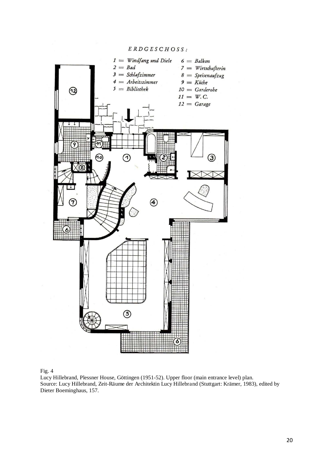

#### Fig. 4

Lucy Hillebrand, Plessner House, Göttingen (1951-52). Upper floor (main entrance level) plan. Source: Lucy Hillebrand, Zeit-Räume der Architektin Lucy Hillebrand (Stuttgart: Krämer, 1983), edited by Dieter Boeminghaus, 157.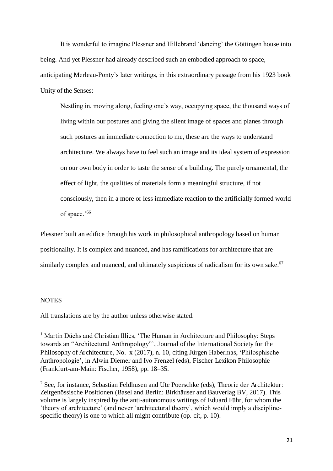It is wonderful to imagine Plessner and Hillebrand 'dancing' the Göttingen house into being. And yet Plessner had already described such an embodied approach to space, anticipating Merleau-Ponty's later writings, in this extraordinary passage from his 1923 book Unity of the Senses:

Nestling in, moving along, feeling one's way, occupying space, the thousand ways of living within our postures and giving the silent image of spaces and planes through such postures an immediate connection to me, these are the ways to understand architecture. We always have to feel such an image and its ideal system of expression on our own body in order to taste the sense of a building. The purely ornamental, the effect of light, the qualities of materials form a meaningful structure, if not consciously, then in a more or less immediate reaction to the artificially formed world of space.'<sup>66</sup>

Plessner built an edifice through his work in philosophical anthropology based on human positionality. It is complex and nuanced, and has ramifications for architecture that are similarly complex and nuanced, and ultimately suspicious of radicalism for its own sake.<sup>67</sup>

#### **NOTES**

.

All translations are by the author unless otherwise stated.

<sup>&</sup>lt;sup>1</sup> Martin Düchs and Christian Illies, 'The Human in Architecture and Philosophy: Steps towards an "Architectural Anthropology"', Journal of the International Society for the Philosophy of Architecture, No. x (2017), n. 10, citing Jürgen Habermas, 'Philosphische Anthropologie', in Alwin Diemer and Ivo Frenzel (eds), Fischer Lexikon Philosophie (Frankfurt-am-Main: Fischer, 1958), pp. 18–35.

<sup>&</sup>lt;sup>2</sup> See, for instance, Sebastian Feldhusen and Ute Poerschke (eds), Theorie der Architektur: Zeitgenössische Positionen (Basel and Berlin: Birkhäuser and Bauverlag BV, 2017). This volume is largely inspired by the anti-autonomous writings of Eduard Führ, for whom the 'theory of architecture' (and never 'architectural theory', which would imply a disciplinespecific theory) is one to which all might contribute (op. cit, p. 10).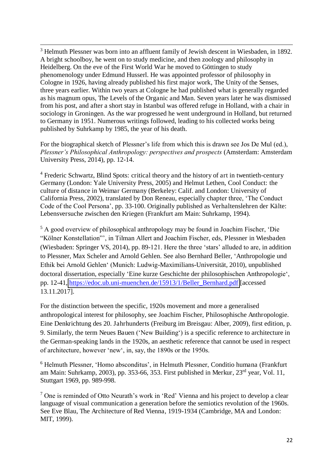<sup>3</sup> Helmuth Plessner was born into an affluent family of Jewish descent in Wiesbaden, in 1892. A bright schoolboy, he went on to study medicine, and then zoology and philosophy in Heidelberg. On the eve of the First World War he moved to Göttingen to study phenomenology under Edmund Husserl. He was appointed professor of philosophy in Cologne in 1926, having already published his first major work, The Unity of the Senses, three years earlier. Within two years at Cologne he had published what is generally regarded as his magnum opus, The Levels of the Organic and Man. Seven years later he was dismissed from his post, and after a short stay in Istanbul was offered refuge in Holland, with a chair in sociology in Groningen. As the war progressed he went underground in Holland, but returned to Germany in 1951. Numerous writings followed, leading to his collected works being published by Suhrkamp by 1985, the year of his death.

.

For the biographical sketch of Plessner's life from which this is drawn see Jos De Mul (ed.), *Plessner's Philosophical Anthropology: perspectives and prospects* (Amsterdam: Amsterdam University Press, 2014), pp. 12-14.

<sup>4</sup> Frederic Schwartz, Blind Spots: critical theory and the history of art in twentieth-century Germany (London: Yale University Press, 2005) and Helmut Lethen, Cool Conduct: the culture of distance in Weimar Germany (Berkeley: Calif. and London: University of California Press, 2002), translated by Don Reneau, especially chapter three, 'The Conduct Code of the Cool Persona', pp. 33-100. Originally published as Verhaltenslehren der Kälte: Lebensversuche zwischen den Kriegen (Frankfurt am Main: Suhrkamp, 1994).

<sup>5</sup> A good overview of philosophical anthropology may be found in Joachim Fischer, 'Die "Kölner Konstellation"', in Tilman Allert and Joachim Fischer, eds, Plessner in Wiesbaden (Wiesbaden: Springer VS, 2014), pp. 89-121. Here the three 'stars' alluded to are, in addition to Plessner, Max Scheler and Arnold Gehlen. See also Bernhard Beller, 'Anthropologie und Ethik bei Arnold Gehlen' (Munich: Ludwig-Maximilians-Universität, 2010), unpublished doctoral dissertation, especially 'Eine kurze Geschichte der philosophischen Anthropologie', pp. 12-41, [https://edoc.ub.uni-muenchen.de/15913/1/Beller\\_Bernhard.pdf](https://edoc.ub.uni-muenchen.de/15913/1/Beller_Bernhard.pdf) [accessed 13.11.2017].

For the distinction between the specific, 1920s movement and more a generalised anthropological interest for philosophy, see Joachim Fischer, Philosophische Anthropologie. Eine Denkrichtung des 20. Jahrhunderts (Freiburg im Breisgau: Alber, 2009), first edition, p. 9. Similarly, the term Neues Bauen ('New Building') is a specific reference to architecture in the German-speaking lands in the 1920s, an aesthetic reference that cannot be used in respect of architecture, however 'new', in, say, the 1890s or the 1950s.

<sup>6</sup> Helmuth Plessner, 'Homo absconditus', in Helmuth Plessner, Conditio humana (Frankfurt am Main: Suhrkamp, 2003), pp. 353-66, 353. First published in Merkur, 23rd year, Vol. 11, Stuttgart 1969, pp. 989-998.

 $<sup>7</sup>$  One is reminded of Otto Neurath's work in 'Red' Vienna and his project to develop a clear</sup> language of visual communication a generation before the semiotics revolution of the 1960s. See Eve Blau, The Architecture of Red Vienna, 1919-1934 (Cambridge, MA and London: MIT, 1999).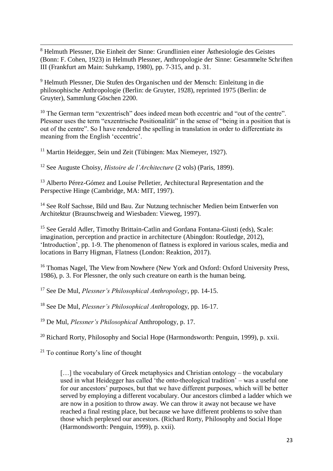8 Helmuth Plessner, Die Einheit der Sinne: Grundlinien einer Ästhesiologie des Geistes (Bonn: F. Cohen, 1923) in Helmuth Plessner, Anthropologie der Sinne: Gesammelte Schriften III (Frankfurt am Main: Suhrkamp, 1980), pp. 7-315, and p. 31.

9 Helmuth Plessner, Die Stufen des Organischen und der Mensch: Einleitung in die philosophische Anthropologie (Berlin: de Gruyter, 1928), reprinted 1975 (Berlin: de Gruyter), Sammlung Göschen 2200.

<sup>10</sup> The German term "exzentrisch" does indeed mean both eccentric and "out of the centre". Plessner uses the term "exzentrische Positionalität" in the sense of "being in a position that is out of the centre". So I have rendered the spelling in translation in order to differentiate its meaning from the English 'eccentric'.

<sup>11</sup> Martin Heidegger, Sein und Zeit (Tübingen: Max Niemeyer, 1927).

<sup>12</sup> See Auguste Choisy, *Histoire de l'Architecture* (2 vols) (Paris, 1899).

<sup>13</sup> Alberto Pérez-Gómez and Louise Pelletier, Architectural Representation and the Perspective Hinge (Cambridge, MA: MIT, 1997).

<sup>14</sup> See Rolf Sachsse, Bild und Bau. Zur Nutzung technischer Medien beim Entwerfen von Architektur (Braunschweig and Wiesbaden: Vieweg, 1997).

<sup>15</sup> See Gerald Adler, Timothy Brittain-Catlin and Gordana Fontana-Giusti (eds), Scale: imagination, perception and practice in architecture (Abingdon: Routledge, 2012), 'Introduction', pp. 1-9. The phenomenon of flatness is explored in various scales, media and locations in Barry Higman, Flatness (London: Reaktion, 2017).

<sup>16</sup> Thomas Nagel, The View from Nowhere (New York and Oxford: Oxford University Press, 1986), p. 3. For Plessner, the only such creature on earth is the human being.

<sup>17</sup> See De Mul, *Plessner's Philosophical Anthropology*, pp. 14-15.

<sup>18</sup> See De Mul, *Plessner's Philosophical Anth*ropology, pp. 16-17.

<sup>19</sup> De Mul, *Plessner's Philosophical* Anthropology, p. 17.

<sup>20</sup> Richard Rorty, Philosophy and Social Hope (Harmondsworth: Penguin, 1999), p. xxii.

<sup>21</sup> To continue Rorty's line of thought

.

[...] the vocabulary of Greek metaphysics and Christian ontology – the vocabulary used in what Heidegger has called 'the onto-theological tradition' – was a useful one for our ancestors' purposes, but that we have different purposes, which will be better served by employing a different vocabulary. Our ancestors climbed a ladder which we are now in a position to throw away. We can throw it away not because we have reached a final resting place, but because we have different problems to solve than those which perplexed our ancestors. (Richard Rorty, Philosophy and Social Hope (Harmondsworth: Penguin, 1999), p. xxii).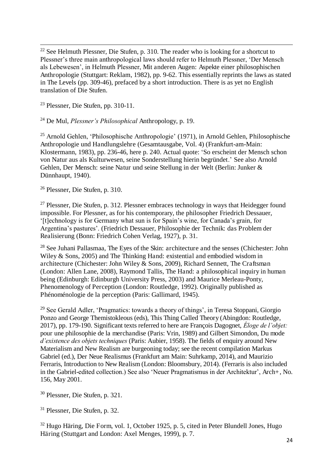<sup>22</sup> See Helmuth Plessner, Die Stufen, p. 310. The reader who is looking for a shortcut to Plessner's three main anthropological laws should refer to Helmuth Plessner, 'Der Mensch als Lebewesen', in Helmuth Plessner, Mit anderen Augen: Aspekte einer philosophischen Anthropologie (Stuttgart: Reklam, 1982), pp. 9-62. This essentially reprints the laws as stated in The Levels (pp. 309-46), prefaced by a short introduction. There is as yet no English translation of Die Stufen.

<sup>23</sup> Plessner, Die Stufen, pp. 310-11.

.

<sup>24</sup> De Mul, *Plessner's Philosophical* Anthropology, p. 19.

 $25$  Arnold Gehlen, 'Philosophische Anthropologie' (1971), in Arnold Gehlen, Philosophische Anthropologie und Handlungslehre (Gesamtausgabe, Vol. 4) (Frankfurt-am-Main: Klostermann, 1983), pp. 236-46, here p. 240. Actual quote: 'So erscheint der Mensch schon von Natur aus als Kulturwesen, seine Sonderstellung hierin begründet.' See also Arnold Gehlen, Der Mensch: seine Natur und seine Stellung in der Welt (Berlin: Junker & Dünnhaupt, 1940).

<sup>26</sup> Plessner, Die Stufen, p. 310.

 $^{27}$  Plessner, Die Stufen, p. 312. Plessner embraces technology in ways that Heidegger found impossible. For Plessner, as for his contemporary, the philosopher Friedrich Dessauer, '[t]echnology is for Germany what sun is for Spain's wine, for Canada's grain, for Argentina's pastures'. (Friedrich Dessauer, Philosophie der Technik: das Problem der Realisierung (Bonn: Friedrich Cohen Verlag, 1927), p. 31.

<sup>28</sup> See Juhani Pallasmaa, The Eyes of the Skin: architecture and the senses (Chichester: John Wiley & Sons, 2005) and The Thinking Hand: existential and embodied wisdom in architecture (Chichester: John Wiley & Sons, 2009), Richard Sennett, The Craftsman (London: Allen Lane, 2008), Raymond Tallis, The Hand: a philosophical inquiry in human being (Edinburgh: Edinburgh University Press, 2003) and Maurice Merleau-Ponty, Phenomenology of Perception (London: Routledge, 1992). Originally published as Phénoménologie de la perception (Paris: Gallimard, 1945).

<sup>29</sup> See Gerald Adler, 'Pragmatics: towards a theory of things', in Teresa Stoppani, Giorgio Ponzo and George Themistokleous (eds), This Thing Called Theory (Abingdon: Routledge, 2017), pp. 179-190. Significant texts referred to here are François Dagognet, *Éloge de l'objet:*  pour une philosophie de la merchandise (Paris: Vrin, 1989) and Gilbert Simondon, Du mode *d'existence des objets techniques* (Paris: Aubier, 1958). The fields of enquiry around New Materialism and New Realism are burgeoning today; see the recent compilation Markus Gabriel (ed.), Der Neue Realismus (Frankfurt am Main: Suhrkamp, 2014), and Maurizio Ferraris, Introduction to New Realism (London: Bloomsbury, 2014). (Ferraris is also included in the Gabriel-edited collection.) See also 'Neuer Pragmatismus in der Architektur', Arch+, No. 156, May 2001.

<sup>30</sup> Plessner, Die Stufen, p. 321.

<sup>31</sup> Plessner, Die Stufen, p. 32.

<sup>32</sup> Hugo Häring, Die Form, vol. 1, October 1925, p. 5, cited in Peter Blundell Jones, Hugo Häring (Stuttgart and London: Axel Menges, 1999), p. 7.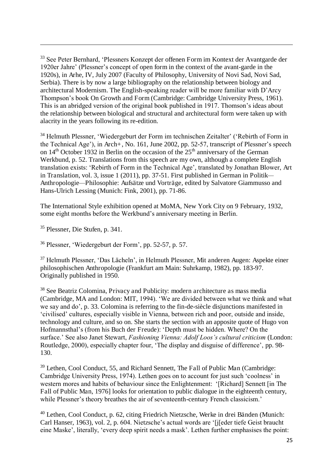<sup>33</sup> See Peter Bernhard, 'Plessners Konzept der offenen Form im Kontext der Avantgarde der 1920er Jahre' (Plessner's concept of open form in the context of the avant-garde in the 1920s), in Arhe, IV, July 2007 (Faculty of Philosophy, University of Novi Sad, Novi Sad, Serbia). There is by now a large bibliography on the relationship between biology and architectural Modernism. The English-speaking reader will be more familiar with D'Arcy Thompson's book On Growth and Form (Cambridge: Cambridge University Press, 1961). This is an abridged version of the original book published in 1917. Thomson's ideas about the relationship between biological and structural and architectural form were taken up with alacrity in the years following its re-edition.

<sup>34</sup> Helmuth Plessner, 'Wiedergeburt der Form im technischen Zeitalter' ('Rebirth of Form in the Technical Age'), in Arch+, No. 161, June 2002, pp. 52-57, transcript of Plessner's speech on  $14<sup>th</sup>$  October 1932 in Berlin on the occasion of the  $25<sup>th</sup>$  anniversary of the German Werkbund, p. 52. Translations from this speech are my own, although a complete English translation exists: 'Rebirth of Form in the Technical Age', translated by Jonathan Blower, Art in Translation, vol. 3, issue 1 (2011), pp. 37-51. First published in German in Politik*—* Anthropologie*—*Philosophie: Aufsätze und Vorträge, edited by Salvatore Giammusso and Hans-Ulrich Lessing (Munich: Fink, 2001), pp. 71-86.

The International Style exhibition opened at MoMA, New York City on 9 February, 1932, some eight months before the Werkbund's anniversary meeting in Berlin.

<sup>35</sup> Plessner, Die Stufen, p. 341.

.

<sup>36</sup> Plessner, 'Wiedergeburt der Form', pp. 52-57, p. 57.

<sup>37</sup> Helmuth Plessner, 'Das Lächeln', in Helmuth Plessner, Mit anderen Augen: Aspekte einer philosophischen Anthropologie (Frankfurt am Main: Suhrkamp, 1982), pp. 183-97. Originally published in 1950.

<sup>38</sup> See Beatriz Colomina, Privacy and Publicity: modern architecture as mass media (Cambridge, MA and London: MIT, 1994). 'We are divided between what we think and what we say and do', p. 33. Colomina is referring to the fin-de-siècle disjunctions manifested in 'civilised' cultures, especially visible in Vienna, between rich and poor, outside and inside, technology and culture, and so on. She starts the section with an apposite quote of Hugo von Hofmannsthal's (from his Buch der Freude): 'Depth must be hidden. Where? On the surface.' See also Janet Stewart, *Fashioning Vienna: Adolf Loos's cultural criticism* (London: Routledge, 2000), especially chapter four, 'The display and disguise of difference', pp. 98- 130.

<sup>39</sup> Lethen, Cool Conduct, 55, and Richard Sennett, The Fall of Public Man (Cambridge: Cambridge University Press, 1974). Lethen goes on to account for just such 'coolness' in western mores and habits of behaviour since the Enlightenment: '[Richard] Sennett [in The Fall of Public Man, 1976] looks for orientation to public dialogue in the eighteenth century, while Plessner's theory breathes the air of seventeenth-century French classicism.'

<sup>40</sup> Lethen, Cool Conduct, p. 62, citing Friedrich Nietzsche, Werke in drei Bänden (Munich: Carl Hanser, 1963), vol. 2, p. 604. Nietzsche's actual words are '[j[eder tiefe Geist braucht eine Maske', literally, 'every deep spirit needs a mask'. Lethen further emphasises the point: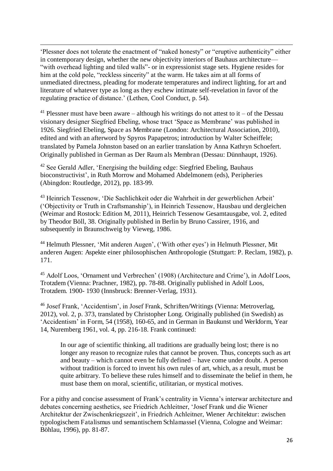'Plessner does not tolerate the enactment of "naked honesty" or "eruptive authenticity" either in contemporary design, whether the new objectivity interiors of Bauhaus architecture— "with overhead lighting and tiled walls"- or in expressionist stage sets. Hygiene resides for him at the cold pole, "reckless sincerity" at the warm. He takes aim at all forms of unmediated directness, pleading for moderate temperatures and indirect lighting, for art and literature of whatever type as long as they eschew intimate self-revelation in favor of the regulating practice of distance.' (Lethen, Cool Conduct, p. 54).

.

<sup>41</sup> Plessner must have been aware – although his writings do not attest to it – of the Dessau visionary designer Siegfried Ebeling, whose tract 'Space as Membrane' was published in 1926. Siegfried Ebeling, Space as Membrane (London: Architectural Association, 2010), edited and with an afterword by Spyros Papapetros; introduction by Walter Scheiffele; translated by Pamela Johnston based on an earlier translation by Anna Kathryn Schoefert. Originally published in German as Der Raum als Membran (Dessau: Dünnhaupt, 1926).

<sup>42</sup> See Gerald Adler, 'Energising the building edge: Siegfried Ebeling, Bauhaus bioconstructivist', in Ruth Morrow and Mohamed Abdelmonem (eds), Peripheries (Abingdon: Routledge, 2012), pp. 183-99.

<sup>43</sup> Heinrich Tessenow, 'Die Sachlichkeit oder die Wahrheit in der gewerblichen Arbeit' ('Objectivity or Truth in Craftsmanship'), in Heinrich Tessenow, Hausbau und dergleichen (Weimar and Rostock: Edition M, 2011), Heinrich Tessenow Gesamtausgabe, vol. 2, edited by Theodor Böll, 38. Originally published in Berlin by Bruno Cassirer, 1916, and subsequently in Braunschweig by Vieweg, 1986.

<sup>44</sup> Helmuth Plessner, 'Mit anderen Augen', ('With other eyes') in Helmuth Plessner, Mit anderen Augen: Aspekte einer philosophischen Anthropologie (Stuttgart: P. Reclam, 1982), p. 171.

<sup>45</sup> Adolf Loos, 'Ornament und Verbrechen' (1908) (Architecture and Crime'), in Adolf Loos, Trotzdem (Vienna: Prachner, 1982), pp. 78-88. Originally published in Adolf Loos, Trotzdem. 1900- 1930 (Innsbruck: Brenner-Verlag, 1931).

<sup>46</sup> Josef Frank, 'Accidentism', in Josef Frank, Schriften/Writings (Vienna: Metroverlag, 2012), vol. 2, p. 373, translated by Christopher Long. Originally published (in Swedish) as 'Accidentism' in Form, 54 (1958), 160-65, and in German in Baukunst und Werkform, Year 14, Nuremberg 1961, vol. 4, pp. 216-18. Frank continued:

In our age of scientific thinking, all traditions are gradually being lost; there is no longer any reason to recognize rules that cannot be proven. Thus, concepts such as art and beauty – which cannot even be fully defined – have come under doubt. A person without tradition is forced to invent his own rules of art, which, as a result, must be quite arbitrary. To believe these rules himself and to disseminate the belief in them, he must base them on moral, scientific, utilitarian, or mystical motives.

For a pithy and concise assessment of Frank's centrality in Vienna's interwar architecture and debates concerning aesthetics, see Friedrich Achleitner, 'Josef Frank und die Wiener Architektur der Zwischenkriegszeit', in Friedrich Achleitner, Wiener Architektur: zwischen typologischem Fatalismus und semantischem Schlamassel (Vienna, Cologne and Weimar: Böhlau, 1996), pp. 81-87.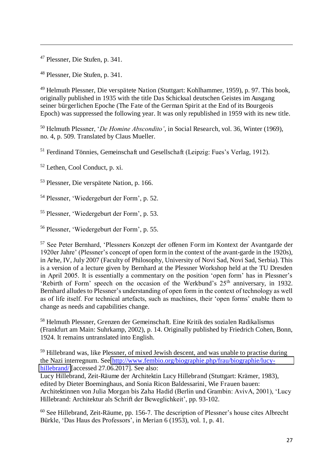<sup>47</sup> Plessner, Die Stufen, p. 341.

.

<sup>48</sup> Plessner, Die Stufen, p. 341.

<sup>49</sup> Helmuth Plessner, Die verspätete Nation (Stuttgart: Kohlhammer, 1959), p. 97. This book, originally published in 1935 with the title Das Schicksal deutschen Geistes im Ausgang seiner bürgerlichen Epoche (The Fate of the German Spirit at the End of its Bourgeois Epoch) was suppressed the following year. It was only republished in 1959 with its new title.

<sup>50</sup> Helmuth Plessner, '*De Homine Abscondito'*, in Social Research, vol. 36, Winter (1969), no. 4, p. 509. Translated by Claus Mueller.

<sup>51</sup> Ferdinand Tönnies, Gemeinschaft und Gesellschaft (Leipzig: Fues's Verlag, 1912).

<sup>52</sup> Lethen, Cool Conduct, p. xi.

<sup>53</sup> Plessner, Die verspätete Nation, p. 166.

<sup>54</sup> Plessner, 'Wiedergeburt der Form', p. 52.

<sup>55</sup> Plessner, 'Wiedergeburt der Form', p. 53.

<sup>56</sup> Plessner, 'Wiedergeburt der Form', p. 55.

<sup>57</sup> See Peter Bernhard, 'Plessners Konzept der offenen Form im Kontext der Avantgarde der 1920er Jahre' (Plessner's concept of open form in the context of the avant-garde in the 1920s), in Arhe, IV, July 2007 (Faculty of Philosophy, University of Novi Sad, Novi Sad, Serbia). This is a version of a lecture given by Bernhard at the Plessner Workshop held at the TU Dresden in April 2005. It is essentially a commentary on the position 'open form' has in Plessner's 'Rebirth of Form' speech on the occasion of the Werkbund's  $25<sup>th</sup>$  anniversary, in 1932. Bernhard alludes to Plessner's understanding of open form in the context of technology as well as of life itself. For technical artefacts, such as machines, their 'open forms' enable them to change as needs and capabilities change.

<sup>58</sup> Helmuth Plessner, Grenzen der Gemeinschaft. Eine Kritik des sozialen Radikalismus (Frankfurt am Main: Suhrkamp, 2002), p. 14. Originally published by Friedrich Cohen, Bonn, 1924. It remains untranslated into English.

<sup>59</sup> Hillebrand was, like Plessner, of mixed Jewish descent, and was unable to practise during the Nazi interregnum. See [http://www.fembio.org/biographie.php/frau/biographie/lucy](http://www.fembio.org/biographie.php/frau/biographie/lucy-hillebrand/)[hillebrand/](http://www.fembio.org/biographie.php/frau/biographie/lucy-hillebrand/) [accessed 27.06.2017]. See also:

Lucy Hillebrand, Zeit-Räume der Architektin Lucy Hillebrand (Stuttgart: Krämer, 1983), edited by Dieter Boeminghaus, and Sonia Ricon Baldessarini, Wie Frauen bauen: Architektinnen von Julia Morgan bis Zaha Hadid (Berlin und Grambin: AvivA, 2001), 'Lucy Hillebrand: Architektur als Schrift der Beweglichkeit', pp. 93-102.

 $60$  See Hillebrand, Zeit-Räume, pp. 156-7. The description of Plessner's house cites Albrecht Bürkle, 'Das Haus des Professors', in Merian 6 (1953), vol. 1, p. 41.